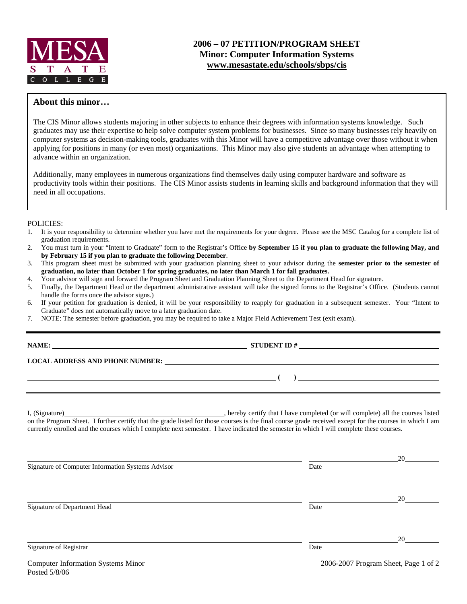

# **2006 – 07 PETITION/PROGRAM SHEET Minor: Computer Information Systems www.mesastate.edu/schools/sbps/cis**

### **About this minor…**

The CIS Minor allows students majoring in other subjects to enhance their degrees with information systems knowledge. Such graduates may use their expertise to help solve computer system problems for businesses. Since so many businesses rely heavily on computer systems as decision-making tools, graduates with this Minor will have a competitive advantage over those without it when applying for positions in many (or even most) organizations. This Minor may also give students an advantage when attempting to advance within an organization.

Additionally, many employees in numerous organizations find themselves daily using computer hardware and software as productivity tools within their positions. The CIS Minor assists students in learning skills and background information that they will need in all occupations.

#### POLICIES:

- 1. It is your responsibility to determine whether you have met the requirements for your degree. Please see the MSC Catalog for a complete list of graduation requirements.
- 2. You must turn in your "Intent to Graduate" form to the Registrar's Office **by September 15 if you plan to graduate the following May, and by February 15 if you plan to graduate the following December**.
- 3. This program sheet must be submitted with your graduation planning sheet to your advisor during the **semester prior to the semester of graduation, no later than October 1 for spring graduates, no later than March 1 for fall graduates.**
- 4. Your advisor will sign and forward the Program Sheet and Graduation Planning Sheet to the Department Head for signature.
- 5. Finally, the Department Head or the department administrative assistant will take the signed forms to the Registrar's Office. (Students cannot handle the forms once the advisor signs.)
- 6. If your petition for graduation is denied, it will be your responsibility to reapply for graduation in a subsequent semester. Your "Intent to Graduate" does not automatically move to a later graduation date.

**STUDENT ID #** 

 **(** )

7. NOTE: The semester before graduation, you may be required to take a Major Field Achievement Test (exit exam).

| <b>MAM</b> |
|------------|
|------------|

### **LOCAL ADDRESS AND PHONE NUMBER:**

Posted 5/8/06

I, (Signature) hereby certify that I have completed (or will complete) all the courses listed on the Program Sheet. I further certify that the grade listed for those courses is the final course grade received except for the courses in which I am currently enrolled and the courses which I complete next semester. I have indicated the semester in which I will complete these courses.

|                                                   |                                      | 20 |  |
|---------------------------------------------------|--------------------------------------|----|--|
| Signature of Computer Information Systems Advisor | Date                                 |    |  |
|                                                   |                                      |    |  |
|                                                   |                                      | 20 |  |
| Signature of Department Head                      | Date                                 |    |  |
|                                                   |                                      |    |  |
|                                                   |                                      | 20 |  |
| Signature of Registrar                            | Date                                 |    |  |
| <b>Computer Information Systems Minor</b>         | 2006-2007 Program Sheet, Page 1 of 2 |    |  |